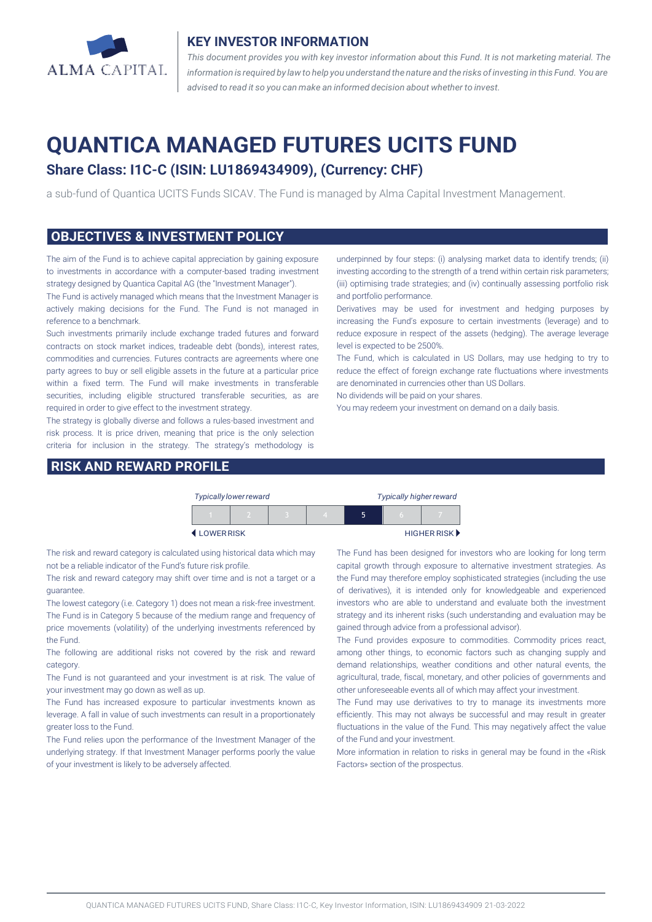

### **KEY INVESTOR INFORMATION**

*This document provides you with key investor information about this Fund. It is not marketing material. The* information is required by law to help you understand the nature and the risks of investing in this Fund. You are *advised to read it so you can make an informed decision about whether to invest.*

# **QUANTICA MANAGED FUTURES UCITS FUND**

# **Share Class: I1C-C (ISIN: LU1869434909), (Currency: CHF)**

a sub-fund of Quantica UCITS Funds SICAV. The Fund is managed by Alma Capital Investment Management.

#### **OBJECTIVES & INVESTMENT POLICY**

The aim of the Fund is to achieve capital appreciation by gaining exposure to investments in accordance with a computer-based trading investment strategy designed by Quantica Capital AG (the "Investment Manager").

The Fund is actively managed which means that the Investment Manager is actively making decisions for the Fund. The Fund is not managed in reference to a benchmark.

Such investments primarily include exchange traded futures and forward contracts on stock market indices, tradeable debt (bonds), interest rates, commodities and currencies. Futures contracts are agreements where one party agrees to buy or sell eligible assets in the future at a particular price within a fixed term. The Fund will make investments in transferable securities, including eligible structured transferable securities, as are required in order to give effect to the investment strategy.

The strategy is globally diverse and follows a rules-based investment and risk process. It is price driven, meaning that price is the only selection criteria for inclusion in the strategy. The strategy's methodology is

## **RISK AND REWARD PROFILE**

underpinned by four steps: (i) analysing market data to identify trends; (ii) investing according to the strength of a trend within certain risk parameters; (iii) optimising trade strategies; and (iv) continually assessing portfolio risk and portfolio performance.

Derivatives may be used for investment and hedging purposes by increasing the Fund's exposure to certain investments (leverage) and to reduce exposure in respect of the assets (hedging). The average leverage level is expected to be 2500%.

The Fund, which is calculated in US Dollars, may use hedging to try to reduce the effect of foreign exchange rate fluctuations where investments are denominated in currencies other than US Dollars.

No dividends will be paid on your shares.

You may redeem your investment on demand on a daily basis.

|           | <b>Typically lower reward</b> |  |  |  | <b>Typically higher reward</b> |  |  |
|-----------|-------------------------------|--|--|--|--------------------------------|--|--|
|           |                               |  |  |  |                                |  |  |
| LOWERRISK |                               |  |  |  | HIGHER RISK                    |  |  |

The risk and reward category is calculated using historical data which may not be a reliable indicator of the Fund's future risk profile.

The risk and reward category may shift over time and is not a target or a guarantee.

The lowest category (i.e. Category 1) does not mean a risk-free investment. The Fund is in Category 5 because of the medium range and frequency of price movements (volatility) of the underlying investments referenced by the Fund.

The following are additional risks not covered by the risk and reward category.

The Fund is not guaranteed and your investment is at risk. The value of your investment may go down as well as up.

The Fund has increased exposure to particular investments known as leverage. A fall in value of such investments can result in a proportionately greater loss to the Fund.

The Fund relies upon the performance of the Investment Manager of the underlying strategy. If that Investment Manager performs poorly the value of your investment is likely to be adversely affected.

The Fund has been designed for investors who are looking for long term capital growth through exposure to alternative investment strategies. As the Fund may therefore employ sophisticated strategies (including the use of derivatives), it is intended only for knowledgeable and experienced investors who are able to understand and evaluate both the investment strategy and its inherent risks (such understanding and evaluation may be gained through advice from a professional advisor).

The Fund provides exposure to commodities. Commodity prices react, among other things, to economic factors such as changing supply and demand relationships, weather conditions and other natural events, the agricultural, trade, fiscal, monetary, and other policies of governments and other unforeseeable events all of which may affect your investment.

The Fund may use derivatives to try to manage its investments more efficiently. This may not always be successful and may result in greater fluctuations in the value of the Fund. This may negatively affect the value of the Fund and your investment.

More information in relation to risks in general may be found in the «Risk Factors» section of the prospectus.